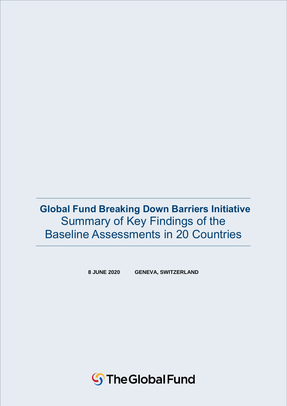# **Global Fund Breaking Down Barriers Initiative** Summary of Key Findings of the Baseline Assessments in 20 Countries

**8 JUNE 2020 GENEVA, SWITZERLAND**

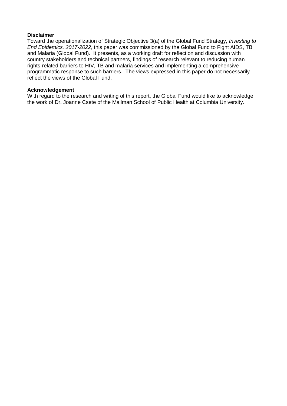#### **Disclaimer**

Toward the operationalization of Strategic Objective 3(a) of the Global Fund Strategy, *Investing to End Epidemics, 2017-2022*, this paper was commissioned by the Global Fund to Fight AIDS, TB and Malaria (Global Fund). It presents, as a working draft for reflection and discussion with country stakeholders and technical partners, findings of research relevant to reducing human rights-related barriers to HIV, TB and malaria services and implementing a comprehensive programmatic response to such barriers. The views expressed in this paper do not necessarily reflect the views of the Global Fund.

#### **Acknowledgement**

With regard to the research and writing of this report, the Global Fund would like to acknowledge the work of Dr. Joanne Csete of the Mailman School of Public Health at Columbia University.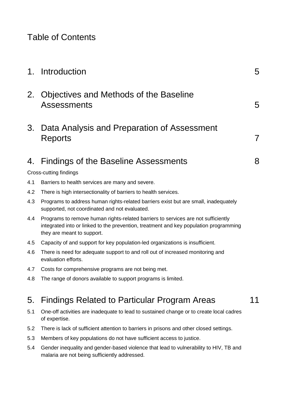# Table of Contents

| 1.  | Introduction                                                                                                                                                                                             | 5  |
|-----|----------------------------------------------------------------------------------------------------------------------------------------------------------------------------------------------------------|----|
| 2.  | Objectives and Methods of the Baseline<br><b>Assessments</b>                                                                                                                                             | 5  |
| 3.  | Data Analysis and Preparation of Assessment<br>Reports                                                                                                                                                   | 7  |
| 4.  | Findings of the Baseline Assessments                                                                                                                                                                     | 8  |
|     | Cross-cutting findings                                                                                                                                                                                   |    |
| 4.1 | Barriers to health services are many and severe.                                                                                                                                                         |    |
| 4.2 | There is high intersectionality of barriers to health services.                                                                                                                                          |    |
| 4.3 | Programs to address human rights-related barriers exist but are small, inadequately<br>supported, not coordinated and not evaluated.                                                                     |    |
| 4.4 | Programs to remove human rights-related barriers to services are not sufficiently<br>integrated into or linked to the prevention, treatment and key population programming<br>they are meant to support. |    |
| 4.5 | Capacity of and support for key population-led organizations is insufficient.                                                                                                                            |    |
| 4.6 | There is need for adequate support to and roll out of increased monitoring and<br>evaluation efforts.                                                                                                    |    |
| 4.7 | Costs for comprehensive programs are not being met.                                                                                                                                                      |    |
| 4.8 | The range of donors available to support programs is limited.                                                                                                                                            |    |
| 5.  | Findings Related to Particular Program Areas                                                                                                                                                             | 11 |
| 5.1 | One-off activities are inadequate to lead to sustained change or to create local cadres<br>of expertise.                                                                                                 |    |
| 5.2 | There is lack of sufficient attention to barriers in prisons and other closed settings.                                                                                                                  |    |

- 5.3 Members of key populations do not have sufficient access to justice.
- 5.4 Gender inequality and gender-based violence that lead to vulnerability to HIV, TB and malaria are not being sufficiently addressed.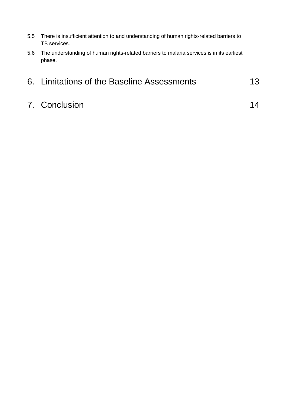- 5.5 There is insufficient attention to and understanding of human rights-related barriers to TB services.
- 5.6 The understanding of human rights-related barriers to malaria services is in its earliest phase.

| 6. Limitations of the Baseline Assessments | 13 |
|--------------------------------------------|----|
|--------------------------------------------|----|

## 7. Conclusion 14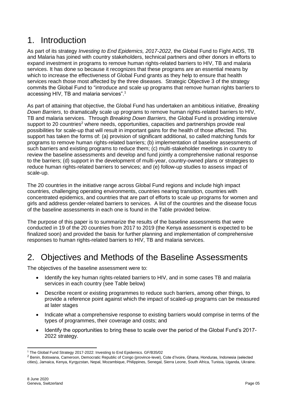### 1. Introduction

As part of its strategy *Investing to End Epidemics, 2017-2022*, the Global Fund to Fight AIDS, TB and Malaria has joined with country stakeholders, technical partners and other donors in efforts to expand investment in programs to remove human rights-related barriers to HIV, TB and malaria services. It has done so because it recognizes that these programs are an essential means by which to increase the effectiveness of Global Fund grants as they help to ensure that health services reach those most affected by the three diseases. Strategic Objective 3 of the strategy commits the Global Fund to "introduce and scale up programs that remove human rights barriers to accessing HIV, TB and malaria services". 1

As part of attaining that objective, the Global Fund has undertaken an ambitious initiative, *Breaking Down Barriers*, to dramatically scale up programs to remove human rights-related barriers to HIV, TB and malaria services. Through *Breaking Down Barriers*, the Global Fund is providing intensive support to 20 countries<sup>2</sup> where needs, opportunities, capacities and partnerships provide real possibilities for scale-up that will result in important gains for the health of those affected. This support has taken the forms of: (a) provision of significant additional, so called matching funds for programs to remove human rights-related barriers; (b) implementation of baseline assessments of such barriers and existing programs to reduce them; (c) multi-stakeholder meetings in country to review the baseline assessments and develop and fund jointly a comprehensive national response to the barriers; (d) support in the development of multi-year, country-owned plans or strategies to reduce human rights-related barriers to services; and (e) follow-up studies to assess impact of scale-up.

The 20 countries in the initiative range across Global Fund regions and include high impact countries, challenging operating environments, countries nearing transition, countries with concentrated epidemics, and countries that are part of efforts to scale up programs for women and girls and address gender-related barriers to services. A list of the countries and the disease focus of the baseline assessments in each one is found in the Table provided below.

The purpose of this paper is to summarize the results of the baseline assessments that were conducted in 19 of the 20 countries from 2017 to 2019 (the Kenya assessment is expected to be finalized soon) and provided the basis for further planning and implementation of comprehensive responses to human rights-related barriers to HIV, TB and malaria services.

### 2. Objectives and Methods of the Baseline Assessments

The objectives of the baseline assessment were to:

- Identify the key human rights-related barriers to HIV, and in some cases TB and malaria services in each country (see Table below)
- Describe recent or existing programmes to reduce such barriers, among other things, to provide a reference point against which the impact of scaled-up programs can be measured at later stages
- Indicate what a comprehensive response to existing barriers would comprise in terms of the types of programmes, their coverage and costs; and
- Identify the opportunities to bring these to scale over the period of the Global Fund's 2017- 2022 strategy.

<sup>-</sup><sup>1</sup> The Global Fund Strategy 2017-2022: Investing to End Epidemics. GF/B35/02

<sup>2</sup> Benin, Botswana, Cameroon, Democratic Republic of Congo (province-level), Cote d'Ivoire, Ghana, Honduras, Indonesia (selected cities), Jamaica, Kenya, Kyrgyzstan, Nepal, Mozambique, Philippines, Senegal, Sierra Leone, South Africa, Tunisia, Uganda, Ukraine.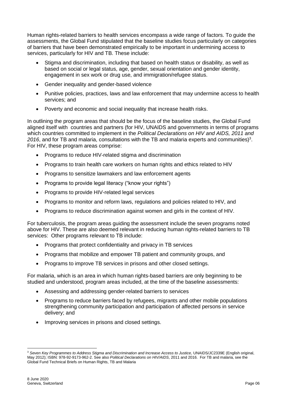Human rights-related barriers to health services encompass a wide range of factors. To guide the assessments, the Global Fund stipulated that the baseline studies focus particularly on categories of barriers that have been demonstrated empirically to be important in undermining access to services, particularly for HIV and TB. These include:

- Stigma and discrimination, including that based on health status or disability, as well as based on social or legal status, age, gender, sexual orientation and gender identity, engagement in sex work or drug use, and immigration/refugee status.
- Gender inequality and gender-based violence
- Punitive policies, practices, laws and law enforcement that may undermine access to health services; and
- Poverty and economic and social inequality that increase health risks.

In outlining the program areas that should be the focus of the baseline studies, the Global Fund aligned itself with countries and partners (for HIV, UNAIDS and governments in terms of programs which countries committed to implement in the *Political Declarations on HIV and AIDS, 2011 and*  2016, and for TB and malaria, consultations with the TB and malaria experts and communities)<sup>3</sup>. For HIV, these program areas comprise:

- Programs to reduce HIV-related stigma and discrimination
- Programs to train health care workers on human rights and ethics related to HIV
- Programs to sensitize lawmakers and law enforcement agents
- Programs to provide legal literacy ("know your rights")
- Programs to provide HIV-related legal services
- Programs to monitor and reform laws, regulations and policies related to HIV, and
- Programs to reduce discrimination against women and girls in the context of HIV.

For tuberculosis, the program areas guiding the assessment include the seven programs noted above for HIV. These are also deemed relevant in reducing human rights-related barriers to TB services: Other programs relevant to TB include:

- Programs that protect confidentiality and privacy in TB services
- Programs that mobilize and empower TB patient and community groups, and
- Programs to improve TB services in prisons and other closed settings.

For malaria, which is an area in which human rights-based barriers are only beginning to be studied and understood, program areas included, at the time of the baseline assessments:

- Assessing and addressing gender-related barriers to services
- Programs to reduce barriers faced by refugees, migrants and other mobile populations strengthening community participation and participation of affected persons in service delivery; and
- Improving services in prisons and closed settings.

<sup>-</sup><sup>3</sup> *Seven Key Programmes to Address Stigma and Discrimination and Increase Access to Justice,* UNAIDS/JC2339E (English original, May 2012); ISBN: 978-92-9173-962-2. See also *Political Declarations on HIV/AIDS*, 2011 and 2016. For TB and malaria, see the Global Fund Technical Briefs on Human Rights, TB and Malaria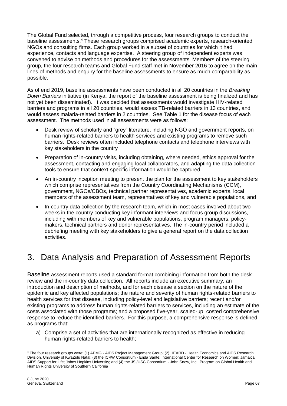The Global Fund selected, through a competitive process, four research groups to conduct the baseline assessments.<sup>4</sup> These research groups comprised academic experts, research-oriented NGOs and consulting firms. Each group worked in a subset of countries for which it had experience, contacts and language expertise. A steering group of independent experts was convened to advise on methods and procedures for the assessments. Members of the steering group, the four research teams and Global Fund staff met in November 2016 to agree on the main lines of methods and enquiry for the baseline assessments to ensure as much comparability as possible.

As of end 2019, baseline assessments have been conducted in all 20 countries in the *Breaking Down Barriers* initiative (in Kenya, the report of the baseline assessment is being finalized and has not yet been disseminated). It was decided that assessments would investigate HIV-related barriers and programs in all 20 countries, would assess TB-related barriers in 13 countries, and would assess malaria-related barriers in 2 countries. See Table 1 for the disease focus of each assessment. The methods used in all assessments were as follows:

- Desk review of scholarly and "grey" literature, including NGO and government reports, on human rights-related barriers to health services and existing programs to remove such barriers. Desk reviews often included telephone contacts and telephone interviews with key stakeholders in the country
- Preparation of in-country visits, including obtaining, where needed, ethics approval for the assessment, contacting and engaging local collaborators, and adapting the data collection tools to ensure that context-specific information would be captured
- An in-country inception meeting to present the plan for the assessment to key stakeholders which comprise representatives from the Country Coordinating Mechanisms (CCM), government, NGOs/CBOs, technical partner representatives, academic experts, local members of the assessment team, representatives of key and vulnerable populations, and
- In-country data collection by the research team, which in most cases involved about two weeks in the country conducting key informant interviews and focus group discussions, including with members of key and vulnerable populations, program managers, policymakers, technical partners and donor representatives. The in-country period included a debriefing meeting with key stakeholders to give a general report on the data collection activities.

# 3. Data Analysis and Preparation of Assessment Reports

Baseline assessment reports used a standard format combining information from both the desk review and the in-country data collection. All reports include an executive summary, an introduction and description of methods, and for each disease a section on the nature of the epidemic and key affected populations; the nature and severity of human rights-related barriers to health services for that disease, including policy-level and legislative barriers; recent and/or existing programs to address human rights-related barriers to services, including an estimate of the costs associated with those programs; and a proposed five-year, scaled-up, costed comprehensive response to reduce the identified barriers. For this purpose, a comprehensive response is defined as programs that:

a) Comprise a set of activities that are internationally recognized as effective in reducing human rights-related barriers to health;

<sup>-</sup><sup>4</sup> The four research groups were: (1) APMG - AIDS Project Management Group; (2) HEARD - Health Economics and AIDS Research Division, University of KwaZulu Natal; (3) the ICRW Consortium - Enda Santé; International Center for Research on Women; Jamaica AIDS Support for Life; Johns Hopkins University; and (4) the JSI/USC Consortium - John Snow, Inc.; Program on Global Health and Human Rights University of Southern California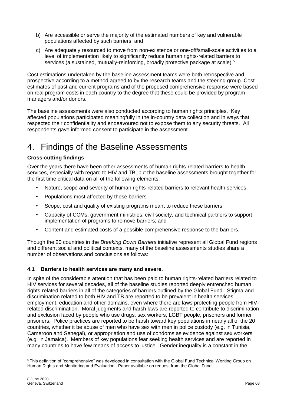- b) Are accessible or serve the majority of the estimated numbers of key and vulnerable populations affected by such barriers; and
- c) Are adequately resourced to move from non-existence or one-off/small-scale activities to a level of implementation likely to significantly reduce human rights-related barriers to services (a sustained, mutually-reinforcing, broadly protective package at scale).<sup>5</sup>

Cost estimations undertaken by the baseline assessment teams were both retrospective and prospective according to a method agreed to by the research teams and the steering group. Cost estimates of past and current programs and of the proposed comprehensive response were based on real program costs in each country to the degree that these could be provided by program managers and/or donors.

The baseline assessments were also conducted according to human rights principles. Key affected populations participated meaningfully in the in-country data collection and in ways that respected their confidentiality and endeavoured not to expose them to any security threats. All respondents gave informed consent to participate in the assessment.

### 4. Findings of the Baseline Assessments

#### **Cross-cutting findings**

Over the years there have been other assessments of human rights-related barriers to health services, especially with regard to HIV and TB, but the baseline assessments brought together for the first time critical data on all of the following elements:

- Nature, scope and severity of human rights-related barriers to relevant health services
- Populations most affected by these barriers
- Scope, cost and quality of existing programs meant to reduce these barriers
- Capacity of CCMs, government ministries, civil society, and technical partners to support implementation of programs to remove barriers; and
- Content and estimated costs of a possible comprehensive response to the barriers.

Though the 20 countries in the *Breaking Down Barriers* initiative represent all Global Fund regions and different social and political contexts, many of the baseline assessments studies share a number of observations and conclusions as follows:

#### **4.1 Barriers to health services are many and severe.**

In spite of the considerable attention that has been paid to human rights-related barriers related to HIV services for several decades, all of the baseline studies reported deeply entrenched human rights-related barriers in all of the categories of barriers outlined by the Global Fund. Stigma and discrimination related to both HIV and TB are reported to be prevalent in health services, employment, education and other domains, even where there are laws protecting people from HIVrelated discrimination. Moral judgments and harsh laws are reported to contribute to discrimination and exclusion faced by people who use drugs, sex workers, LGBT people, prisoners and former prisoners. Police practices are reported to be harsh toward key populations in nearly all of the 20 countries, whether it be abuse of men who have sex with men in police custody (e.g. in Tunisia, Cameroon and Senegal), or appropriation and use of condoms as evidence against sex workers (e.g. in Jamaica). Members of key populations fear seeking health services and are reported in many countries to have few means of access to justice. Gender inequality is a constant in the

-

<sup>5</sup> This definition of "comprehensive" was developed in consultation with the Global Fund Technical Working Group on Human Rights and Monitoring and Evaluation. Paper available on request from the Global Fund.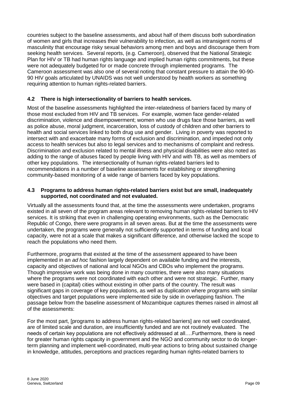countries subject to the baseline assessments, and about half of them discuss both subordination of women and girls that increases their vulnerability to infection, as well as intransigent norms of masculinity that encourage risky sexual behaviors among men and boys and discourage them from seeking health services. Several reports, (e.g. Cameroon), observed that the National Strategic Plan for HIV or TB had human rights language and implied human rights commitments, but these were not adequately budgeted for or made concrete through implemented programs. The Cameroon assessment was also one of several noting that constant pressure to attain the 90-90- 90 HIV goals articulated by UNAIDS was not well understood by health workers as something requiring attention to human rights-related barriers.

#### **4.2 There is high intersectionality of barriers to health services.**

Most of the baseline assessments highlighted the inter-relatedness of barriers faced by many of those most excluded from HIV and TB services. For example, women face gender-related discrimination, violence and disempowerment; women who use drugs face those barriers, as well as police abuse, moral judgment, incarceration, loss of custody of children and other barriers to health and social services linked to both drug use and gender. Living in poverty was reported to intersect with and exacerbate many forms of exclusion and discrimination, and impeded not only access to health services but also to legal services and to mechanisms of complaint and redress. Discrimination and exclusion related to mental illness and physicial disabilities were also noted as adding to the range of abuses faced by people living with HIV and with TB, as well as members of other key populations. The intersectionality of human rights-related barriers led to recommendations in a number of baseline assessments for establishing or strengthening community-based monitoring of a wide range of barriers faced by key populations.

#### **4.3 Programs to address human rights-related barriers exist but are small, inadequately supported, not coordinated and not evaluated.**

Virtually all the assessments found that, at the time the assessments were undertaken, programs existed in all seven of the program areas relevant to removing human rights-related barriers to HIV services. It is striking that even in challenging operating environments, such as the Democratic Republic of Congo, there were programs in all seven areas. But at the time the assessments were undertaken, the programs were generally not sufficiently supported in terms of funding and local capacity, were not at a scale that makes a significant difference, and otherwise lacked the scope to reach the populations who need them.

Furthermore, programs that existed at the time of the assessment appeared to have been implemented in an *ad hoc* fashion largely dependent on available funding and the interests, capacity and objectives of national and local NGOs and CBOs who implement the programs. Though impressive work was being done in many countries, there were also many situations where the programs were not coordinated with each other and were not strategic. Further, many were based in (capital) cities without existing in other parts of the country. The result was significant gaps in coverage of key populations, as well as duplication where programs with similar objectives and target populations were implemented side by side in overlapping fashion. The passage below from the baseline assessment of Mozambique captures themes raised in almost all of the assessments:

For the most part, [programs to address human rights-related barriers] are not well coordinated, are of limited scale and duration, are insufficiently funded and are not routinely evaluated. The needs of certain key populations are not effectively addressed at all….Furthermore, there is need for greater human rights capacity in government and the NGO and community sector to do longerterm planning and implement well-coordinated, multi-year actions to bring about sustained change in knowledge, attitudes, perceptions and practices regarding human rights-related barriers to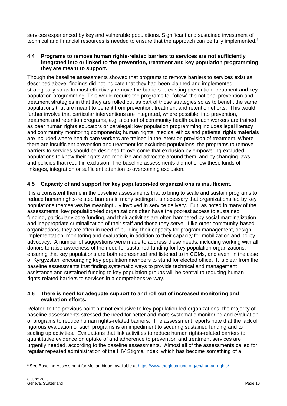services experienced by key and vulnerable populations. Significant and sustained investment of technical and financial resources is needed to ensure that the approach can be fully implemented.<sup>6</sup>

#### **4.4 Programs to remove human rights-related barriers to services are not sufficiently integrated into or linked to the prevention, treatment and key population programming they are meant to support.**

Though the baseline assessments showed that programs to remove barriers to services exist as described above, findings did not indicate that they had been planned and implemented strategically so as to most effectively remove the barriers to existing prevention, treatment and key population programming. This would require the programs to "follow" the national prevention and treatment strategies in that they are rolled out as part of those strategies so as to benefit the same populations that are meant to benefit from prevention, treatment and retention efforts. This would further involve that particular interventions are integrated, where possible, into prevention, treatment and retention programs, e.g. a cohort of community health outreach workers are trained as peer human rights educators or paralegal; key population programming includes legal literacy and community monitoring components; human rights, medical ethics and patients' rights materials are included where health care workers are trained in the latest on provision of treatment. Where there are insufficient prevention and treatment for excluded populations, the programs to remove barriers to services should be designed to overcome that exclusion by empowering excluded populations to know their rights and mobilize and advocate around them, and by changing laws and policies that result in exclusion. The baseline assessments did not show these kinds of linkages, integration or sufficient attention to overcoming exclusion.

#### **4.5 Capacity of and support for key population-led organizations is insufficient.**

It is a consistent theme in the baseline assessments that to bring to scale and sustain programs to reduce human rights-related barriers in many settings it is necessary that organizations led by key populations themselves be meaningfully involved in service delivery. But, as noted in many of the assessments, key population-led organizations often have the poorest access to sustained funding, particularly core funding, and their activities are often hampered by social marginalization and inappropriate criminalization of their staff and those they serve. Like other community-based organizations, they are often in need of building their capacity for program management, design, implementation, monitoring and evaluation, in addition to their capacity for mobilization and policy advocacy. A number of suggestions were made to address these needs, including working with all donors to raise awareness of the need for sustained funding for key population organizations, ensuring that key populations are both represented and listened to in CCMs, and even, in the case of Kyrgyzstan, encouraging key population members to stand for elected office. It is clear from the baseline assessments that finding systematic ways to provide technical and management assistance and sustained funding to key population groups will be central to reducing human rights-related barriers to services in a comprehensive way.

#### **4.6 There is need for adequate support to and roll out of increased monitoring and evaluation efforts.**

Related to the previous point but not exclusive to key population-led organizations, the majority of baseline assessments stressed the need for better and more systematic monitoring and evaluation of programs to reduce human rights-related barriers. The assessment reports note that the lack of rigorous evaluation of such programs is an impediment to securing sustained funding and to scaling up activities. Evaluations that link activities to reduce human rights-related barriers to quantitative evidence on uptake of and adherence to prevention and treatment services are urgently needed, according to the baseline assessments. Almost all of the assessments called for regular repeated administration of the HIV Stigma Index, which has become something of a

<sup>6</sup> See Baseline Assessment for Mozambique, available at<https://www.theglobalfund.org/en/human-rights/>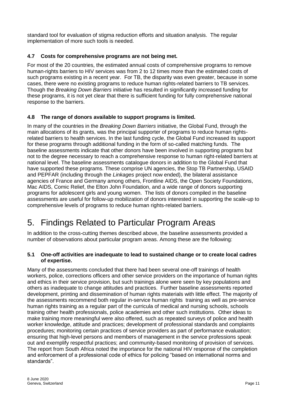standard tool for evaluation of stigma reduction efforts and situation analysis. The regular implementation of more such tools is needed.

#### **4.7 Costs for comprehensive programs are not being met.**

For most of the 20 countries, the estimated annual costs of comprehensive programs to remove human-rights barriers to HIV services was from 2 to 12 times more than the estimated costs of such programs existing in a recent year. For TB, the disparity was even greater, because in some cases, there were no existing programs to reduce human rights-related barriers to TB services. Though the *Breaking Down Barriers* initiative has resulted in significantly increased funding for these programs, it is not yet clear that there is sufficient funding for fully comprehensive national response to the barriers.

#### **4.8 The range of donors available to support programs is limited.**

In many of the countries in the *Breaking Down Barriers* initiative, the Global Fund, through the main allocations of its grants, was the principal supporter of programs to reduce human rightsrelated barriers to health services. In the last funding cycle, the Global Fund increased its support for these programs through additional funding in the form of so-called matching funds. The baseline assessments indicate that other donors have been involved in supporting programs but not to the degree necessary to reach a comprehensive response to human right-related barriers at national level. The baseline assessments catalogue donors in addition to the Global Fund that have supported these programs. These comprise UN agencies, the Stop TB Partnership, USAID and PEPFAR (including through the *Linkages* project now ended), the bilateral assistance agencies of France and Germany among others, Frontline AIDS, the Open Society Foundations, Mac AIDS, Comic Relief, the Elton John Foundation, and a wide range of donors supporting programs for adolescent girls and young women. The lists of donors compiled in the baseline assessments are useful for follow-up mobilization of donors interested in supporting the scale-up to comprehensive levels of programs to reduce human rights-related barriers.

# 5. Findings Related to Particular Program Areas

In addition to the cross-cutting themes described above, the baseline assessments provided a number of observations about particular program areas. Among these are the following:

#### **5.1 One-off activities are inadequate to lead to sustained change or to create local cadres of expertise.**

Many of the assessments concluded that there had been several one-off trainings of health workers, police, corrections officers and other service providers on the importance of human rights and ethics in their service provision, but such trainings alone were seen by key populations and others as inadequate to change attitudes and practices. Further baseline assessments reported development, printing and dissemination of human rights materials with little effect. The majority of the assessments recommend both regular in-service human rights training as well as pre-service human rights training as a regular part of the curricula of medical and nursing schools, schools training other health professionals, police academies and other such institutions. Other ideas to make training more meaningful were also offered, such as repeated surveys of police and health worker knowledge, attitude and practices; development of professional standards and complaints procedures; monitoring certain practices of service providers as part of performance evaluation; ensuring that high-level persons and members of management in the service professions speak out and exemplify respectful practices; and community-based monitoring of provision of services. The report from South Africa noted the importance for the national HIV response of the completion and enforcement of a professional code of ethics for policing "based on international norms and standards".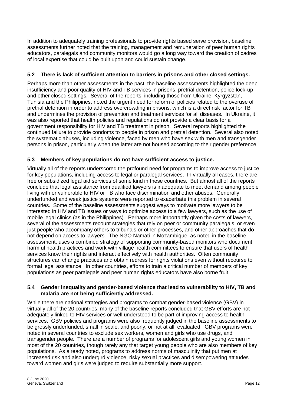In addition to adequately training professionals to provide rights based serve provision, baseline assessments further noted that the training, management and remuneration of peer human rights educators, paralegals and community monitors would go a long way toward the creation of cadres of local expertise that could be built upon and could sustain change.

#### **5.2 There is lack of sufficient attention to barriers in prisons and other closed settings.**

Perhaps more than other assessments in the past, the baseline assessments highlighted the deep insufficiency and poor quality of HIV and TB services in prisons, pretrial detention, police lock-up and other closed settings. Several of the reports, including those from Ukraine, Kyrgyzstan, Tunisia and the Philippines, noted the urgent need for reform of policies related to the overuse of pretrial detention in order to address overcrowding in prisons, which is a direct risk factor for TB and undermines the provision of prevention and treatment services for all diseases. In Ukraine, it was also reported that health policies and regulations do not provide a clear basis for a government responsibility for HIV and TB treatment in prison. Several reports highlighted the continued failure to provide condoms to people in prison and pretrial detention. Several also noted the systematic abuses, including violence, faced by men who have sex with men and transgender persons in prison, particularly when the latter are not housed according to their gender preference.

#### **5.3 Members of key populations do not have sufficient access to justice.**

Virtually all of the reports underscored the profound need for programs to improve access to justice for key populations, including access to legal or paralegal services. In virtually all cases, there are free or subsidized legal aid services of some kind in these countries. But almost all of the reports conclude that legal assistance from qualified lawyers is inadequate to meet demand among people living with or vulnerable to HIV or TB who face discrimination and other abuses. Generally underfunded and weak justice systems were reported to exacerbate this problem in several countries. Some of the baseline assessments suggest ways to motivate more lawyers to be interested in HIV and TB issues or ways to optimize access to a few lawyers, such as the use of mobile legal clinics (as in the Philippines). Perhaps more importantly given the costs of lawyers, several of the assessments recount strategies that rely on peer or community paralegals, or even just people who accompany others to tribunals or other processes, and other approaches that do not depend on access to lawyers. The NGO Namati in Mozambique, as noted in the baseline assessment, uses a combined strategy of supporting community-based monitors who document harmful health practices and work with village health committees to ensure that users of health services know their rights and interact effectively with health authorities. Often community structures can change practices and obtain redress for rights violations even without recourse to formal legal assistance. In other countries, efforts to train a critical number of members of key populations as peer paralegals and peer human rights educators have also borne fruit.

#### **5.4 Gender inequality and gender-based violence that lead to vulnerability to HIV, TB and malaria are not being sufficiently addressed.**

While there are national strategies and programs to combat gender-based violence (GBV) in virtually all of the 20 countries, many of the baseline reports concluded that GBV efforts are not adequately linked to HIV services or well understood to be part of improving access to health services. GBV policies and programs were also frequently judged in the baseline assessments to be grossly underfunded, small in scale, and poorly, or not at all, evaluated. GBV programs were noted in several countries to exclude sex workers, women and girls who use drugs, and transgender people. There are a number of programs for adolescent girls and young women in most of the 20 countries, though rarely any that target young people who are also members of key populations. As already noted, programs to address norms of masculinity that put men at increased risk and also undergird violence, risky sexual practices and disempowering attitudes toward women and girls were judged to require substantially more support.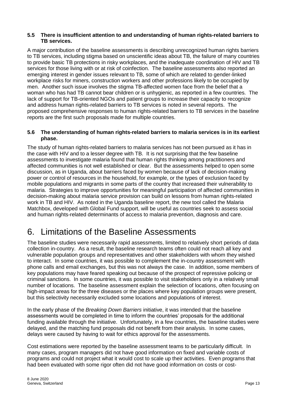#### **5.5 There is insufficient attention to and understanding of human rights-related barriers to TB services.**

A major contribution of the baseline assessments is describing unrecognized human rights barriers to TB services, including stigma based on unscientific ideas about TB, the failure of many countries to provide basic TB protections in risky workplaces, and the inadequate coordination of HIV and TB services for those living with or at risk of coinfection. The baseline assessments also reported an emerging interest in gender issues relevant to TB, some of which are related to gender-linked workplace risks for miners, construction workers and other professions likely to be occupied by men. Another such issue involves the stigma TB-affected women face from the belief that a woman who has had TB cannot bear children or is unhygienic, as reported in a few countries. The lack of support for TB-oriented NGOs and patient groups to increase their capacity to recognize and address human rights-related barriers to TB services is noted in several reports. The proposed comprehensive responses to human rights-related barriers to TB services in the baseline reports are the first such proposals made for multiple countries.

#### **5.6 The understanding of human rights-related barriers to malaria services is in its earliest phase.**

The study of human rights-related barriers to malaria services has not been pursued as it has in the case with HIV and to a lesser degree with TB. It is not surprising that the few baseline assessments to investigate malaria found that human rights thinking among practitioners and affected communities is not well established or clear. But the assessments helped to open some discussion, as in Uganda, about barriers faced by women because of lack of decision-making power or control of resources in the household, for example, or the types of exclusion faced by mobile populations and migrants in some parts of the country that increased their vulnerability to malaria. Strategies to improve opportunities for meaningful participation of affected communities in decision-making about malaria service provision can build on lessons from human rights-related work in TB and HIV. As noted in the Uganda baseline report, the new tool called the Malaria Matchbox, developed with Global Fund support, will be useful as countries seek to assess social and human rights-related determinants of access to malaria prevention, diagnosis and care.

### 6. Limitations of the Baseline Assessments

The baseline studies were necessarily rapid assessments, limited to relatively short periods of data collection in-country. As a result, the baseline research teams often could not reach all key and vulnerable population groups and representatives and other stakeholders with whom they wished to interact. In some countries, it was possible to complement the in-country assessment with phone calls and email exchanges, but this was not always the case. In addition, some members of key populations may have feared speaking out because of the prospect of repressive policing or criminal sanctions. In some countries, it was possible to visit stakeholders only in a relatively small number of locations. The baseline assessment explain the selection of locations, often focusing on high-impact areas for the three diseases or the places where key population groups were present, but this selectivity necessarily excluded some locations and populations of interest.

In the early phase of the *Breaking Down Barriers* initiative, it was intended that the baseline assessments would be completed in time to inform the countries' proposals for the additional funding available through the initiative. Unfortunately, in a few countries, the baseline studies were delayed, and the matching fund proposals did not benefit from their analysis. In some cases, delays were caused by having to wait for ethics approval for the assessments.

Cost estimations were reported by the baseline assessment teams to be particularly difficult. In many cases, program managers did not have good information on fixed and variable costs of programs and could not project what it would cost to scale up their activities. Even programs that had been evaluated with some rigor often did not have good information on costs or cost